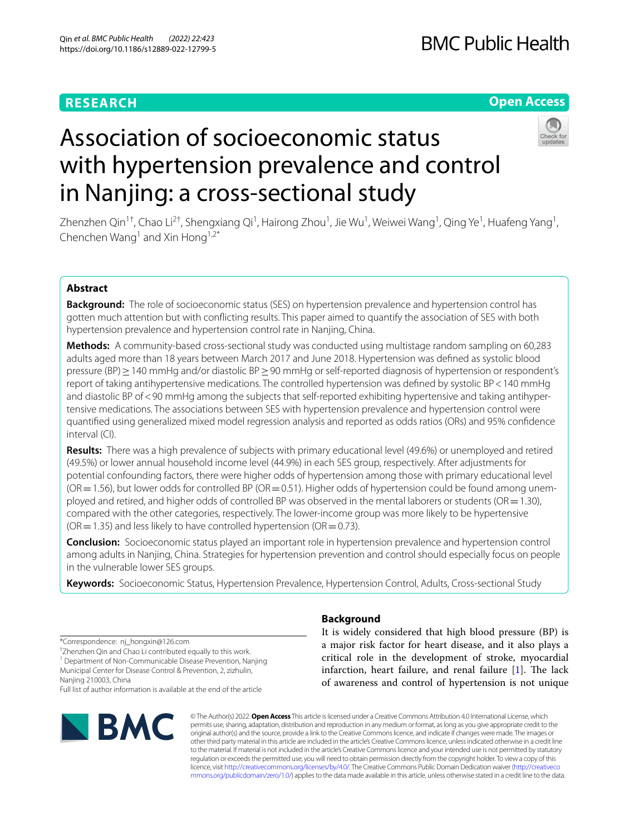# **RESEARCH**

# **Open Access**



# Association of socioeconomic status with hypertension prevalence and control in Nanjing: a cross-sectional study

Zhenzhen Qin<sup>1†</sup>, Chao Li<sup>2†</sup>, Shengxiang Qi<sup>1</sup>, Hairong Zhou<sup>1</sup>, Jie Wu<sup>1</sup>, Weiwei Wang<sup>1</sup>, Qing Ye<sup>1</sup>, Huafeng Yang<sup>1</sup>, Chenchen Wang<sup>1</sup> and Xin Hong<sup>1,2\*</sup>

# **Abstract**

**Background:** The role of socioeconomic status (SES) on hypertension prevalence and hypertension control has gotten much attention but with conficting results. This paper aimed to quantify the association of SES with both hypertension prevalence and hypertension control rate in Nanjing, China.

**Methods:** A community-based cross-sectional study was conducted using multistage random sampling on 60,283 adults aged more than 18 years between March 2017 and June 2018. Hypertension was defned as systolic blood pressure (BP) ≥ 140 mmHg and/or diastolic BP ≥ 90 mmHg or self-reported diagnosis of hypertension or respondent's report of taking antihypertensive medications. The controlled hypertension was defned by systolic BP<140 mmHg and diastolic BP of<90 mmHg among the subjects that self-reported exhibiting hypertensive and taking antihypertensive medications. The associations between SES with hypertension prevalence and hypertension control were quantifed using generalized mixed model regression analysis and reported as odds ratios (ORs) and 95% confdence interval (CI).

**Results:** There was a high prevalence of subjects with primary educational level (49.6%) or unemployed and retired (49.5%) or lower annual household income level (44.9%) in each SES group, respectively. After adjustments for potential confounding factors, there were higher odds of hypertension among those with primary educational level  $(OR = 1.56)$ , but lower odds for controlled BP ( $OR = 0.51$ ). Higher odds of hypertension could be found among unemployed and retired, and higher odds of controlled BP was observed in the mental laborers or students (OR=1.30), compared with the other categories, respectively. The lower-income group was more likely to be hypertensive  $(OR = 1.35)$  and less likely to have controlled hypertension ( $OR = 0.73$ ).

**Conclusion:** Socioeconomic status played an important role in hypertension prevalence and hypertension control among adults in Nanjing, China. Strategies for hypertension prevention and control should especially focus on people in the vulnerable lower SES groups.

**Keywords:** Socioeconomic Status, Hypertension Prevalence, Hypertension Control, Adults, Cross-sectional Study

\*Correspondence: nj\_hongxin@126.com

† Zhenzhen Qin and Chao Li contributed equally to this work.

<sup>1</sup> Department of Non-Communicable Disease Prevention, Nanjing Municipal Center for Disease Control & Prevention, 2, zizhulin, Nanjing 210003, China

Full list of author information is available at the end of the article



# **Background**

It is widely considered that high blood pressure (BP) is a major risk factor for heart disease, and it also plays a critical role in the development of stroke, myocardial infarction, heart failure, and renal failure  $[1]$  $[1]$ . The lack of awareness and control of hypertension is not unique

© The Author(s) 2022. **Open Access** This article is licensed under a Creative Commons Attribution 4.0 International License, which permits use, sharing, adaptation, distribution and reproduction in any medium or format, as long as you give appropriate credit to the original author(s) and the source, provide a link to the Creative Commons licence, and indicate if changes were made. The images or other third party material in this article are included in the article's Creative Commons licence, unless indicated otherwise in a credit line to the material. If material is not included in the article's Creative Commons licence and your intended use is not permitted by statutory regulation or exceeds the permitted use, you will need to obtain permission directly from the copyright holder. To view a copy of this licence, visit [http://creativecommons.org/licenses/by/4.0/.](http://creativecommons.org/licenses/by/4.0/) The Creative Commons Public Domain Dedication waiver ([http://creativeco](http://creativecommons.org/publicdomain/zero/1.0/) [mmons.org/publicdomain/zero/1.0/](http://creativecommons.org/publicdomain/zero/1.0/)) applies to the data made available in this article, unless otherwise stated in a credit line to the data.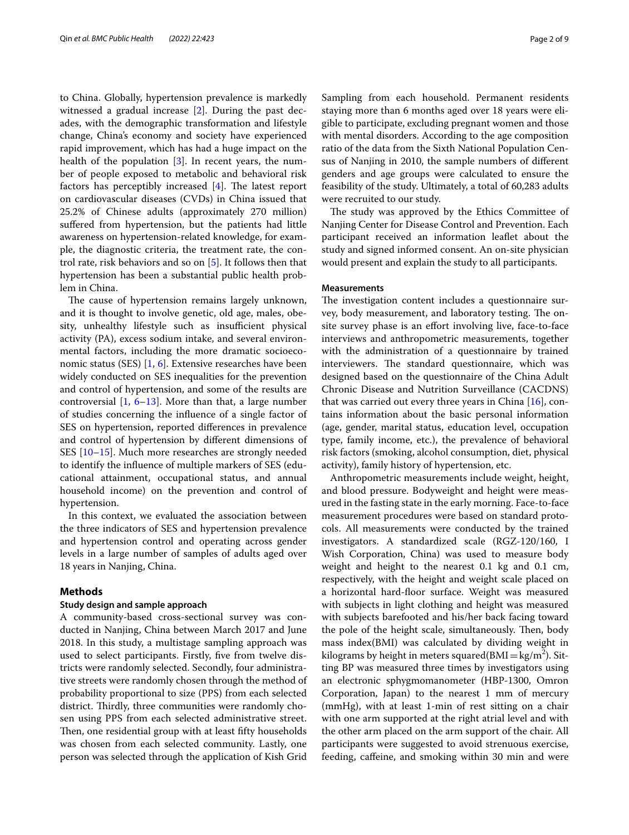to China. Globally, hypertension prevalence is markedly witnessed a gradual increase [\[2](#page-8-1)]. During the past decades, with the demographic transformation and lifestyle change, China's economy and society have experienced rapid improvement, which has had a huge impact on the health of the population [[3\]](#page-8-2). In recent years, the number of people exposed to metabolic and behavioral risk factors has perceptibly increased  $[4]$ . The latest report on cardiovascular diseases (CVDs) in China issued that 25.2% of Chinese adults (approximately 270 million) sufered from hypertension, but the patients had little awareness on hypertension-related knowledge, for example, the diagnostic criteria, the treatment rate, the control rate, risk behaviors and so on [[5\]](#page-8-4). It follows then that hypertension has been a substantial public health problem in China.

The cause of hypertension remains largely unknown, and it is thought to involve genetic, old age, males, obesity, unhealthy lifestyle such as insufficient physical activity (PA), excess sodium intake, and several environmental factors, including the more dramatic socioeconomic status (SES) [[1](#page-8-0), [6](#page-8-5)]. Extensive researches have been widely conducted on SES inequalities for the prevention and control of hypertension, and some of the results are controversial [[1,](#page-8-0) [6](#page-8-5)[–13\]](#page-8-6). More than that, a large number of studies concerning the infuence of a single factor of SES on hypertension, reported diferences in prevalence and control of hypertension by diferent dimensions of SES [\[10](#page-8-7)[–15\]](#page-8-8). Much more researches are strongly needed to identify the infuence of multiple markers of SES (educational attainment, occupational status, and annual household income) on the prevention and control of hypertension.

In this context, we evaluated the association between the three indicators of SES and hypertension prevalence and hypertension control and operating across gender levels in a large number of samples of adults aged over 18 years in Nanjing, China.

# **Methods**

## **Study design and sample approach**

A community-based cross-sectional survey was conducted in Nanjing, China between March 2017 and June 2018. In this study, a multistage sampling approach was used to select participants. Firstly, fve from twelve districts were randomly selected. Secondly, four administrative streets were randomly chosen through the method of probability proportional to size (PPS) from each selected district. Thirdly, three communities were randomly chosen using PPS from each selected administrative street. Then, one residential group with at least fifty households was chosen from each selected community. Lastly, one person was selected through the application of Kish Grid Sampling from each household. Permanent residents staying more than 6 months aged over 18 years were eligible to participate, excluding pregnant women and those with mental disorders. According to the age composition ratio of the data from the Sixth National Population Census of Nanjing in 2010, the sample numbers of diferent genders and age groups were calculated to ensure the feasibility of the study. Ultimately, a total of 60,283 adults were recruited to our study.

The study was approved by the Ethics Committee of Nanjing Center for Disease Control and Prevention. Each participant received an information leafet about the study and signed informed consent. An on-site physician would present and explain the study to all participants.

## **Measurements**

The investigation content includes a questionnaire survey, body measurement, and laboratory testing. The onsite survey phase is an effort involving live, face-to-face interviews and anthropometric measurements, together with the administration of a questionnaire by trained interviewers. The standard questionnaire, which was designed based on the questionnaire of the China Adult Chronic Disease and Nutrition Surveillance (CACDNS) that was carried out every three years in China [\[16](#page-8-9)], contains information about the basic personal information (age, gender, marital status, education level, occupation type, family income, etc.), the prevalence of behavioral risk factors (smoking, alcohol consumption, diet, physical activity), family history of hypertension, etc.

Anthropometric measurements include weight, height, and blood pressure. Bodyweight and height were measured in the fasting state in the early morning. Face-to-face measurement procedures were based on standard protocols. All measurements were conducted by the trained investigators. A standardized scale (RGZ-120/160, I Wish Corporation, China) was used to measure body weight and height to the nearest 0.1 kg and 0.1 cm, respectively, with the height and weight scale placed on a horizontal hard-foor surface. Weight was measured with subjects in light clothing and height was measured with subjects barefooted and his/her back facing toward the pole of the height scale, simultaneously. Then, body mass index(BMI) was calculated by dividing weight in kilograms by height in meters squared( $\text{BMI} = \text{kg/m}^2$ ). Sitting BP was measured three times by investigators using an electronic sphygmomanometer (HBP-1300, Omron Corporation, Japan) to the nearest 1 mm of mercury (mmHg), with at least 1-min of rest sitting on a chair with one arm supported at the right atrial level and with the other arm placed on the arm support of the chair. All participants were suggested to avoid strenuous exercise, feeding, cafeine, and smoking within 30 min and were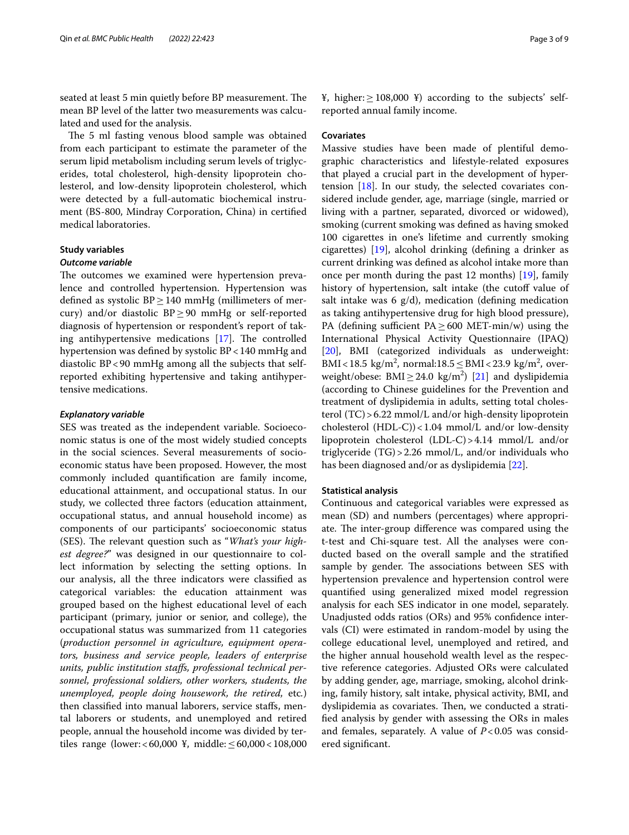seated at least 5 min quietly before BP measurement. The mean BP level of the latter two measurements was calculated and used for the analysis.

The 5 ml fasting venous blood sample was obtained from each participant to estimate the parameter of the serum lipid metabolism including serum levels of triglycerides, total cholesterol, high-density lipoprotein cholesterol, and low-density lipoprotein cholesterol, which were detected by a full-automatic biochemical instrument (BS-800, Mindray Corporation, China) in certifed medical laboratories.

## **Study variables**

# *Outcome variable*

The outcomes we examined were hypertension prevalence and controlled hypertension. Hypertension was defined as systolic  $BP \geq 140$  mmHg (millimeters of mercury) and/or diastolic  $BP \geq 90$  mmHg or self-reported diagnosis of hypertension or respondent's report of taking antihypertensive medications  $[17]$  $[17]$ . The controlled hypertension was defned by systolic BP<140 mmHg and diastolic BP<90 mmHg among all the subjects that selfreported exhibiting hypertensive and taking antihypertensive medications.

## *Explanatory variable*

SES was treated as the independent variable. Socioeconomic status is one of the most widely studied concepts in the social sciences. Several measurements of socioeconomic status have been proposed. However, the most commonly included quantifcation are family income, educational attainment, and occupational status. In our study, we collected three factors (education attainment, occupational status, and annual household income) as components of our participants' socioeconomic status (SES). The relevant question such as "What's your high*est degree?*" was designed in our questionnaire to collect information by selecting the setting options. In our analysis, all the three indicators were classifed as categorical variables: the education attainment was grouped based on the highest educational level of each participant (primary, junior or senior, and college), the occupational status was summarized from 11 categories (*production personnel in agriculture, equipment operators, business and service people, leaders of enterprise units, public institution stafs, professional technical personnel, professional soldiers, other workers, students, the unemployed, people doing housework, the retired,* etc*.*) then classifed into manual laborers, service stafs, mental laborers or students, and unemployed and retired people, annual the household income was divided by tertiles range (lower: < 60,000 ¥, middle: ≤60,000 < 108,000 ¥, higher:≥108,000 ¥) according to the subjects' selfreported annual family income.

## **Covariates**

Massive studies have been made of plentiful demographic characteristics and lifestyle-related exposures that played a crucial part in the development of hypertension [\[18](#page-8-11)]. In our study, the selected covariates considered include gender, age, marriage (single, married or living with a partner, separated, divorced or widowed), smoking (current smoking was defned as having smoked 100 cigarettes in one's lifetime and currently smoking cigarettes) [\[19](#page-8-12)], alcohol drinking (defning a drinker as current drinking was defned as alcohol intake more than once per month during the past 12 months) [[19\]](#page-8-12), family history of hypertension, salt intake (the cutoff value of salt intake was  $6 \text{ g/d}$ , medication (defining medication as taking antihypertensive drug for high blood pressure), PA (defining sufficient PA $\geq$  600 MET-min/w) using the International Physical Activity Questionnaire (IPAQ) [[20\]](#page-8-13), BMI (categorized individuals as underweight: BMI<18.5 kg/m<sup>2</sup>, normal:18.5  $\leq$  BMI <23.9 kg/m<sup>2</sup>, overweight/obese:  $BMI \geq 24.0 \text{ kg/m}^2$  [\[21](#page-8-14)] and dyslipidemia (according to Chinese guidelines for the Prevention and treatment of dyslipidemia in adults, setting total cholesterol (TC)>6.22 mmol/L and/or high-density lipoprotein cholesterol (HDL-C))<1.04 mmol/L and/or low-density lipoprotein cholesterol (LDL-C)>4.14 mmol/L and/or triglyceride (TG)>2.26 mmol/L, and/or individuals who has been diagnosed and/or as dyslipidemia [[22\]](#page-8-15).

## **Statistical analysis**

Continuous and categorical variables were expressed as mean (SD) and numbers (percentages) where appropriate. The inter-group difference was compared using the t-test and Chi-square test. All the analyses were conducted based on the overall sample and the stratifed sample by gender. The associations between SES with hypertension prevalence and hypertension control were quantifed using generalized mixed model regression analysis for each SES indicator in one model, separately. Unadjusted odds ratios (ORs) and 95% confdence intervals (CI) were estimated in random-model by using the college educational level, unemployed and retired, and the higher annual household wealth level as the respective reference categories. Adjusted ORs were calculated by adding gender, age, marriage, smoking, alcohol drinking, family history, salt intake, physical activity, BMI, and dyslipidemia as covariates. Then, we conducted a stratifed analysis by gender with assessing the ORs in males and females, separately. A value of  $P < 0.05$  was considered signifcant.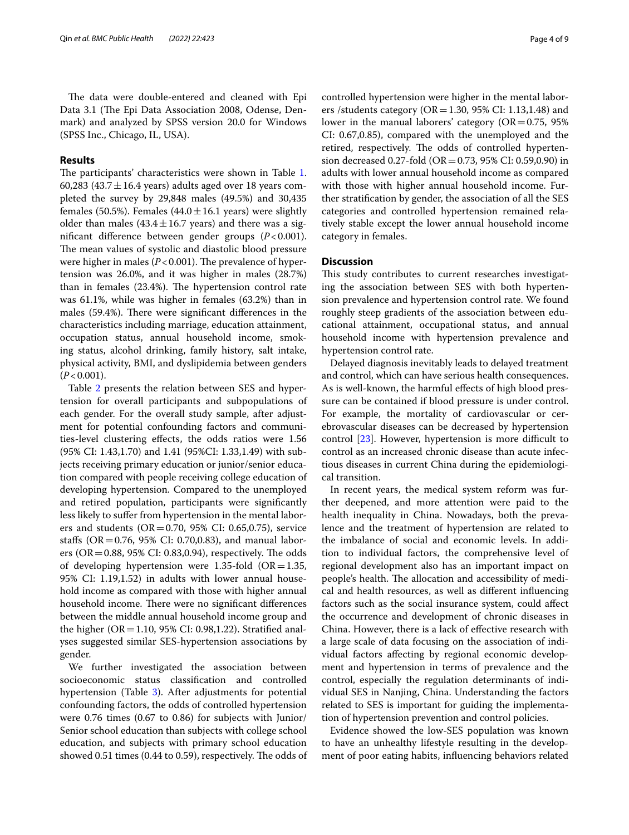The data were double-entered and cleaned with Epi Data 3.1 (The Epi Data Association 2008, Odense, Denmark) and analyzed by SPSS version 20.0 for Windows (SPSS Inc., Chicago, IL, USA).

## **Results**

The participants' characteristics were shown in Table [1](#page-4-0). 60,283 (43.7 $\pm$ 16.4 years) adults aged over 18 years completed the survey by 29,848 males (49.5%) and 30,435 females (50.5%). Females (44.0 $\pm$ 16.1 years) were slightly older than males (43.4 $\pm$ 16.7 years) and there was a signifcant diference between gender groups (*P*<0.001). The mean values of systolic and diastolic blood pressure were higher in males  $(P<0.001)$ . The prevalence of hypertension was 26.0%, and it was higher in males (28.7%) than in females (23.4%). The hypertension control rate was 61.1%, while was higher in females (63.2%) than in males (59.4%). There were significant differences in the characteristics including marriage, education attainment, occupation status, annual household income, smoking status, alcohol drinking, family history, salt intake, physical activity, BMI, and dyslipidemia between genders  $(P<0.001)$ .

Table [2](#page-5-0) presents the relation between SES and hypertension for overall participants and subpopulations of each gender. For the overall study sample, after adjustment for potential confounding factors and communities-level clustering efects, the odds ratios were 1.56 (95% CI: 1.43,1.70) and 1.41 (95%CI: 1.33,1.49) with subjects receiving primary education or junior/senior education compared with people receiving college education of developing hypertension. Compared to the unemployed and retired population, participants were signifcantly less likely to sufer from hypertension in the mental laborers and students ( $OR = 0.70$ , 95% CI: 0.65,0.75), service stafs (OR=0.76, 95% CI: 0.70,0.83), and manual laborers ( $OR = 0.88$ , 95% CI: 0.83,0.94), respectively. The odds of developing hypertension were 1.35-fold  $(OR=1.35,$ 95% CI: 1.19,1.52) in adults with lower annual household income as compared with those with higher annual household income. There were no significant differences between the middle annual household income group and the higher ( $OR = 1.10$ , 95% CI: 0.98,1.22). Stratified analyses suggested similar SES-hypertension associations by gender.

We further investigated the association between socioeconomic status classifcation and controlled hypertension (Table [3](#page-6-0)). After adjustments for potential confounding factors, the odds of controlled hypertension were 0.76 times (0.67 to 0.86) for subjects with Junior/ Senior school education than subjects with college school education, and subjects with primary school education showed 0.51 times (0.44 to 0.59), respectively. The odds of controlled hypertension were higher in the mental laborers /students category ( $OR = 1.30$ , 95% CI: 1.13,1.48) and lower in the manual laborers' category  $(OR=0.75, 95\%)$ CI: 0.67,0.85), compared with the unemployed and the retired, respectively. The odds of controlled hypertension decreased 0.27-fold (OR=0.73, 95% CI: 0.59,0.90) in adults with lower annual household income as compared with those with higher annual household income. Further stratifcation by gender, the association of all the SES categories and controlled hypertension remained relatively stable except the lower annual household income category in females.

# **Discussion**

This study contributes to current researches investigating the association between SES with both hypertension prevalence and hypertension control rate. We found roughly steep gradients of the association between educational attainment, occupational status, and annual household income with hypertension prevalence and hypertension control rate.

Delayed diagnosis inevitably leads to delayed treatment and control, which can have serious health consequences. As is well-known, the harmful efects of high blood pressure can be contained if blood pressure is under control. For example, the mortality of cardiovascular or cerebrovascular diseases can be decreased by hypertension control  $[23]$ . However, hypertension is more difficult to control as an increased chronic disease than acute infectious diseases in current China during the epidemiological transition.

In recent years, the medical system reform was further deepened, and more attention were paid to the health inequality in China. Nowadays, both the prevalence and the treatment of hypertension are related to the imbalance of social and economic levels. In addition to individual factors, the comprehensive level of regional development also has an important impact on people's health. The allocation and accessibility of medical and health resources, as well as diferent infuencing factors such as the social insurance system, could afect the occurrence and development of chronic diseases in China. However, there is a lack of efective research with a large scale of data focusing on the association of individual factors afecting by regional economic development and hypertension in terms of prevalence and the control, especially the regulation determinants of individual SES in Nanjing, China. Understanding the factors related to SES is important for guiding the implementation of hypertension prevention and control policies.

Evidence showed the low-SES population was known to have an unhealthy lifestyle resulting in the development of poor eating habits, infuencing behaviors related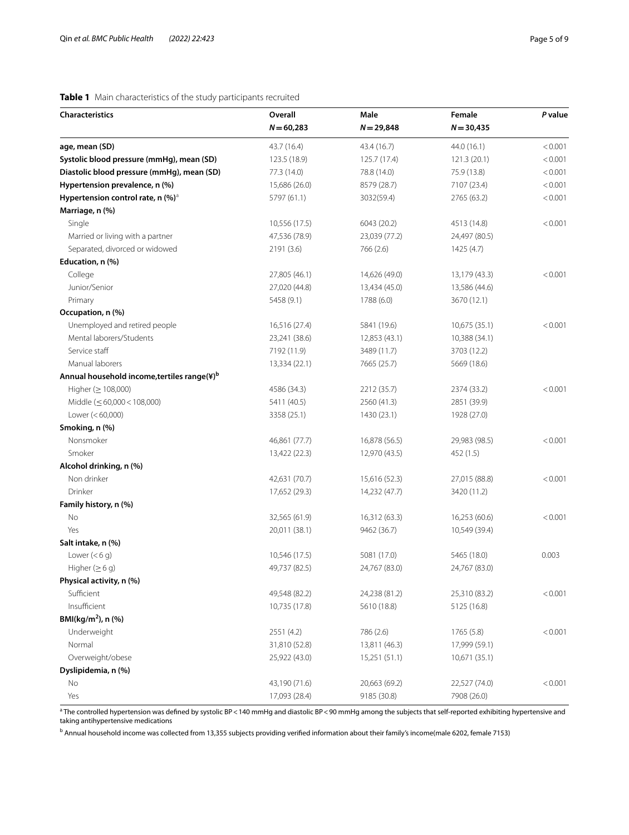# <span id="page-4-0"></span>**Table 1** Main characteristics of the study participants recruited

| <b>Characteristics</b>                                  | <b>Overall</b> | Male          | Female        | P value |
|---------------------------------------------------------|----------------|---------------|---------------|---------|
|                                                         | $N = 60,283$   | $N = 29,848$  | $N = 30,435$  |         |
| age, mean (SD)                                          | 43.7 (16.4)    | 43.4 (16.7)   | 44.0 (16.1)   | < 0.001 |
| Systolic blood pressure (mmHg), mean (SD)               | 123.5 (18.9)   | 125.7 (17.4)  | 121.3(20.1)   | < 0.001 |
| Diastolic blood pressure (mmHg), mean (SD)              | 77.3 (14.0)    | 78.8 (14.0)   | 75.9 (13.8)   | < 0.001 |
| Hypertension prevalence, n (%)                          | 15,686 (26.0)  | 8579 (28.7)   | 7107 (23.4)   | < 0.001 |
| Hypertension control rate, n (%) <sup>a</sup>           | 5797 (61.1)    | 3032(59.4)    | 2765 (63.2)   | < 0.001 |
| Marriage, n (%)                                         |                |               |               |         |
| Single                                                  | 10,556 (17.5)  | 6043 (20.2)   | 4513 (14.8)   | < 0.001 |
| Married or living with a partner                        | 47,536 (78.9)  | 23,039 (77.2) | 24,497 (80.5) |         |
| Separated, divorced or widowed                          | 2191 (3.6)     | 766 (2.6)     | 1425 (4.7)    |         |
| Education, n (%)                                        |                |               |               |         |
| College                                                 | 27,805 (46.1)  | 14,626 (49.0) | 13,179 (43.3) | < 0.001 |
| Junior/Senior                                           | 27,020 (44.8)  | 13,434 (45.0) | 13,586 (44.6) |         |
| Primary                                                 | 5458 (9.1)     | 1788 (6.0)    | 3670 (12.1)   |         |
| Occupation, n (%)                                       |                |               |               |         |
| Unemployed and retired people                           | 16,516 (27.4)  | 5841 (19.6)   | 10,675 (35.1) | < 0.001 |
| Mental laborers/Students                                | 23,241 (38.6)  | 12,853 (43.1) | 10,388 (34.1) |         |
| Service staff                                           | 7192 (11.9)    | 3489 (11.7)   | 3703 (12.2)   |         |
| Manual laborers                                         | 13,334 (22.1)  | 7665 (25.7)   | 5669 (18.6)   |         |
| Annual household income, tertiles range(¥) <sup>b</sup> |                |               |               |         |
| Higher ( $\geq$ 108,000)                                | 4586 (34.3)    | 2212 (35.7)   | 2374 (33.2)   | < 0.001 |
| Middle $(\leq 60,000 < 108,000)$                        | 5411 (40.5)    | 2560 (41.3)   | 2851 (39.9)   |         |
| Lower $(< 60,000)$                                      | 3358 (25.1)    | 1430 (23.1)   | 1928 (27.0)   |         |
| Smoking, n (%)                                          |                |               |               |         |
| Nonsmoker                                               | 46,861 (77.7)  | 16,878 (56.5) | 29,983 (98.5) | < 0.001 |
| Smoker                                                  | 13,422 (22.3)  | 12,970 (43.5) | 452 (1.5)     |         |
| Alcohol drinking, n (%)                                 |                |               |               |         |
| Non drinker                                             | 42,631 (70.7)  | 15,616 (52.3) | 27,015 (88.8) | < 0.001 |
| Drinker                                                 | 17,652 (29.3)  | 14,232 (47.7) | 3420 (11.2)   |         |
| Family history, n (%)                                   |                |               |               |         |
| No                                                      | 32,565 (61.9)  | 16,312 (63.3) | 16,253 (60.6) | < 0.001 |
| Yes                                                     | 20,011 (38.1)  | 9462 (36.7)   | 10,549 (39.4) |         |
| Salt intake, n (%)                                      |                |               |               |         |
| Lower $(< 6 q)$                                         | 10,546 (17.5)  | 5081 (17.0)   | 5465 (18.0)   | 0.003   |
| Higher $( \geq 6 q)$                                    | 49,737 (82.5)  | 24,767 (83.0) | 24,767 (83.0) |         |
| Physical activity, n (%)                                |                |               |               |         |
| Sufficient                                              | 49,548 (82.2)  | 24,238 (81.2) | 25,310 (83.2) | < 0.001 |
| Insufficient                                            | 10,735 (17.8)  | 5610 (18.8)   | 5125 (16.8)   |         |
| BMI(kg/m <sup>2</sup> ), n (%)                          |                |               |               |         |
| Underweight                                             | 2551 (4.2)     | 786 (2.6)     | 1765 (5.8)    | < 0.001 |
| Normal                                                  | 31,810 (52.8)  | 13,811 (46.3) | 17,999 (59.1) |         |
| Overweight/obese                                        | 25,922 (43.0)  | 15,251 (51.1) | 10,671 (35.1) |         |
| Dyslipidemia, n (%)                                     |                |               |               |         |
| No                                                      | 43,190 (71.6)  | 20,663 (69.2) | 22,527 (74.0) | < 0.001 |
| Yes                                                     | 17,093 (28.4)  | 9185 (30.8)   | 7908 (26.0)   |         |

<sup>a</sup> The controlled hypertension was defined by systolic BP<140 mmHg and diastolic BP<90 mmHg among the subjects that self-reported exhibiting hypertensive and taking antihypertensive medications

b Annual household income was collected from 13,355 subjects providing verifed information about their family's income(male 6202, female 7153)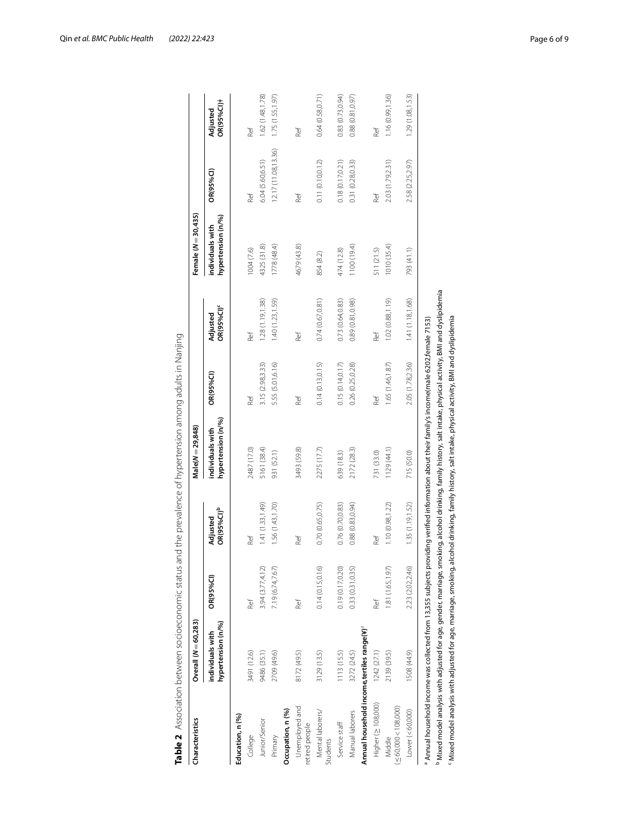| Characteristics                                        | Overall (N = 60,283)                   |                  |                                    | Male(N = 29,848)                       |                  |                                    | Female (N = 30,435)                    |                     |                        |
|--------------------------------------------------------|----------------------------------------|------------------|------------------------------------|----------------------------------------|------------------|------------------------------------|----------------------------------------|---------------------|------------------------|
|                                                        | hypertension (n/%)<br>individuals with | OR(95%Cl)        | OR(95%CI) <sup>b</sup><br>Adjusted | hypertension (n/%)<br>individuals with | OR(95%Cl)        | OR(95%CI) <sup>c</sup><br>Adjusted | hypertension (n/%)<br>individuals with | OR(95%Cl)           | OR(95%Cl)+<br>Adjusted |
| Education, n (%)                                       |                                        |                  |                                    |                                        |                  |                                    |                                        |                     |                        |
| College                                                | 3491 (12.6)                            | Ref              | Ref                                | 2487 (17.0)                            | Ref              | Ref                                | 1004(7.6)                              | Ref                 | Ref                    |
| Junior/Senior                                          | 9486 (35.1)                            | 3.94 (3.77,4.12) | 1.41 (1.33, 1.49)                  | 5161 (38.4)                            | 3.15 (2.98,3.33) | 1.28 (1.19,1.38)                   | 4325 (31.8)                            | 6.04 (5.60,6.51)    | 1.62 (1.48,1.78)       |
| Primary                                                | 2709 (49.6)                            | 7.19 (6.74,7.67) | 1.56 (1.43, 1.70)                  | 931 (52.1)                             | 5.55 (5.01,6.16) | 1.40 (1.23, 1.59)                  | 1778 (48.4)                            | 12.17 (11.08,13.36) | 1.75(1.55, 1.97)       |
| Occupation, n (%)                                      |                                        |                  |                                    |                                        |                  |                                    |                                        |                     |                        |
| Unemployed and<br>retired people                       | 8172 (49.5)                            | Ref              | Ref                                | 3493 (59.8)                            | Ref              | Ref                                | 4679 (43.8)                            | Ref                 | Ref                    |
| Mental laborers/<br><b>Students</b>                    | 3129 (13.5)                            | 0.14(0.15, 0.16) | 0.70(0.65, 0.75)                   | 2275 (17.7)                            | 0.14(0.13, 0.15) | 0.74(0.67, 0.81)                   | 854 (8.2)                              | 0.11(0.10, 0.12)    | 0.64(0.58, 0.71)       |
| Service staff                                          | 1113 (15.5)                            | 0.19 (0.17,0.20) | 0.76 (0.70,0.83)                   | 639 (18.3)                             | 0.15(0.14, 0.17) | 0.73 (0.64,0.83)                   | 474 (12.8)                             | 0.18(0.17, 0.21)    | 0.83(0.73, 0.94)       |
| Manual laborers                                        | 3272 (24.5)                            | 0.33 (0.31,0.35) | 0.88(0.83, 0.94)                   | 2172 (28.3)                            | 0.26 (0.25,0.28) | 0.89 (0.81,0.98)                   | 1100 (19.4)                            | 0.31 (0.28,0.33)    | (0.88)(0.81, 0.97)     |
| Annual household income,tertiles range(*) <sup>ª</sup> |                                        |                  |                                    |                                        |                  |                                    |                                        |                     |                        |
| Higher ( $\geq$ 108,000)                               | 1242(27.1)                             | Ref              | Ref                                | 731 (33.0)                             | Ref              | Ref                                | 511 (21.5)                             | Ref                 | Ref                    |
| $(\leq 60,000 < 108,000)$<br>Middle                    | 2139 (39.5)                            | 1.81 (1.65,1.97) | 1.10(0.98, 1.22)                   | 1129(44.1)                             | 1.65 (1.46,1.87) | 1.02 (0.88,1.19)                   | 1010 (35.4)                            | 2.03 (1.79,2.31)    | 1.16(0.99, 1.36)       |
| Lower $(< 60,000)$                                     | 1508 (44.9)                            | 2.23 (2.02,2.46) | 1.35(1.19, 1.52)                   | 715 (50.0)                             | 2.05 (1.78,2.36) | 1.41 (1.18,1.68)                   | 793 (41.1)                             | 2.58 (2.25,2.97)    | 1.29 (1.08,1.53)       |

<span id="page-5-0"></span>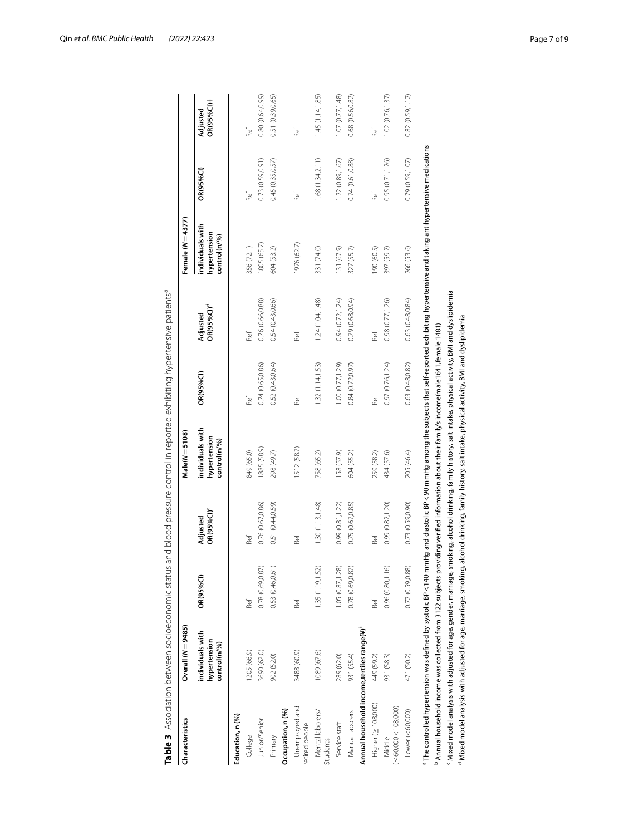| Characteristics                                         | Overall (N = 9485)                               |                   |                                          | $Male(N = 5108)$                                 |                   |                                    | Female $(N=4377)$                                |                  |                        |
|---------------------------------------------------------|--------------------------------------------------|-------------------|------------------------------------------|--------------------------------------------------|-------------------|------------------------------------|--------------------------------------------------|------------------|------------------------|
|                                                         | individuals with<br>hypertension<br>control(n/%) | OR(95%Cl)         | <b>OR(95%CI)<sup>c</sup></b><br>Adjusted | individuals with<br>hypertension<br>control(n/%) | <b>OR(95%CI)</b>  | OR(95%CI) <sup>d</sup><br>Adjusted | individuals with<br>hypertension<br>control(n/%) | <b>OR(95%CI)</b> | OR(95%Cl)+<br>Adjusted |
| Education, n (%)                                        |                                                  |                   |                                          |                                                  |                   |                                    |                                                  |                  |                        |
| College                                                 | 1205 (66.9)                                      | Ref               | Ref                                      | 849 (65.0)                                       | Ref               | Ref                                | 356 (72.1)                                       | Ref              | Ref                    |
| Junior/Senior                                           | 3690 (62.0)                                      | 0.78(0.69, 0.87)  | 0.76 (0.67,0.86)                         | 1885 (58.9)                                      | 0.74 (0.65,0.86)  | 0.76 (0.66,0.88)                   | 1805 (65.7)                                      | 0.73 (0.59,0.91) | 0.80 (0.64,0.99)       |
| Primary                                                 | 902 (52.0)                                       | 0.53 (0.46,0.61)  | 0.51 (0.44,0.59)                         | 298 (49.7)                                       | 0.52 (0.43,0.64)  | 0.54 (0.43,0.66)                   | 604 (53.2)                                       | 0.45 (0.35,0.57) | 0.51 (0.39,0.65)       |
| Occupation, n (%)                                       |                                                  |                   |                                          |                                                  |                   |                                    |                                                  |                  |                        |
| Unemployed and<br>retired people                        | 3488 (60.9)                                      | Ref               | Ref                                      | 1512 (58.7)                                      | Ref               | Ref                                | 1976 (62.7)                                      | Ref              | Ref                    |
| Mental laborers/<br>Students                            | 1089 (67.6)                                      | 1.35(1.19, 1.52)  | 1.30(1.13, 1.48)                         | 758 (65.2)                                       | 1.32(1.14, 1.53)  | 1.24 (1.04, 1.48)                  | 331 (74.0)                                       | 1.68(1.34,2.11)  | 1.45(1.14, 1.85)       |
| Service staff                                           | 289 (62.0)                                       | 1.05 (0.87, 1.28) | 0.99 (0.81,1.22)                         | 158 (57.9)                                       | 1.00 (0.77, 1.29) | 0.94(0.72, 1.24)                   | 131 (67.9)                                       | 1.22 (0.89,1.67) | 1.07 (0.77, 1.48)      |
| Manual laborers                                         | 931 (55.4)                                       | 0.78 (0.69,0.87)  | 0.75 (0.67,0.85)                         | 604 (55.2)                                       | 0.84 (0.72,0.97)  | 0.79(0.68, 0.94)                   | 327 (55.7)                                       | 0.74(0.61, 0.88) | 0.68 (0.56,0.82)       |
| Annual household income, tertiles range(*) <sup>b</sup> |                                                  |                   |                                          |                                                  |                   |                                    |                                                  |                  |                        |
| Higher ( $\geq$ 108,000)                                | 449 (59.2)                                       | Ref               | Ref                                      | 259 (58.2)                                       | Ref               | Ref                                | (5.09) 061                                       | Ref              | Ref                    |
| $(\leq 60,000 < 108,000)$<br>Middle                     | 931 (58.3)                                       | 0.96(0.80, 1.16)  | 0.99 (0.82,1.20)                         | 434 (57.6)                                       | 0.97 (0.76,1.24)  | 0.98 (0.77,1.26)                   | 397 (59.2)                                       | 0.95 (0.71,1.26) | 1.02(0.76, 1.37)       |
| Lower (< 60,000)                                        | 471 (50.2)                                       | 0.72(0.59, 0.88)  | 0.73 (0.59,0.90)                         | 205 (46.4)                                       | 0.63 (0.48,0.82)  | 0.63 (0.48,0.84)                   | 266 (53.6)                                       | 0.79 (0.59,1.07) | 0.82(0.59, 1.12)       |

<span id="page-6-0"></span>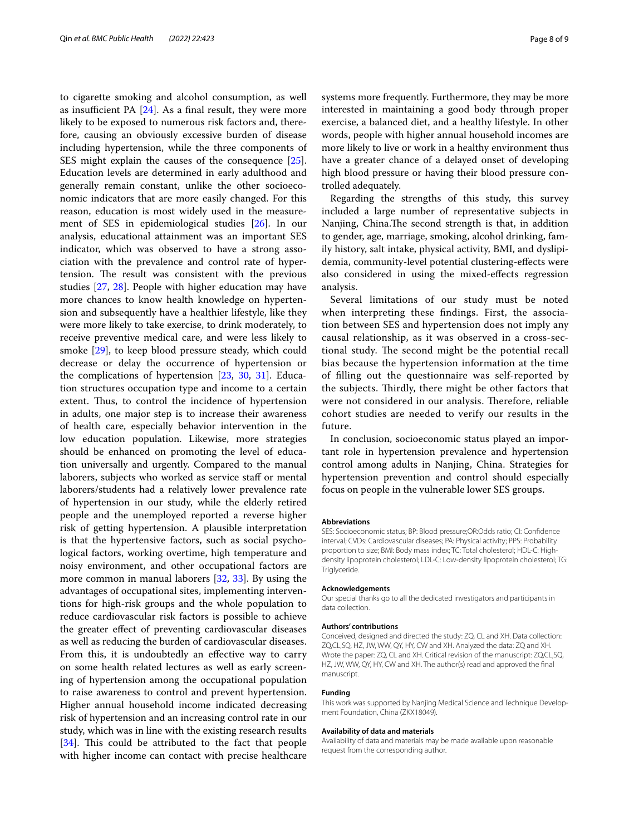to cigarette smoking and alcohol consumption, as well as insufficient PA  $[24]$  $[24]$ . As a final result, they were more likely to be exposed to numerous risk factors and, therefore, causing an obviously excessive burden of disease including hypertension, while the three components of SES might explain the causes of the consequence [\[25](#page-8-18)]. Education levels are determined in early adulthood and generally remain constant, unlike the other socioeconomic indicators that are more easily changed. For this reason, education is most widely used in the measurement of SES in epidemiological studies [[26\]](#page-8-19). In our analysis, educational attainment was an important SES indicator, which was observed to have a strong association with the prevalence and control rate of hypertension. The result was consistent with the previous studies [[27,](#page-8-20) [28\]](#page-8-21). People with higher education may have more chances to know health knowledge on hypertension and subsequently have a healthier lifestyle, like they were more likely to take exercise, to drink moderately, to receive preventive medical care, and were less likely to smoke [[29\]](#page-8-22), to keep blood pressure steady, which could decrease or delay the occurrence of hypertension or the complications of hypertension [\[23](#page-8-16), [30,](#page-8-23) [31](#page-8-24)]. Education structures occupation type and income to a certain extent. Thus, to control the incidence of hypertension in adults, one major step is to increase their awareness of health care, especially behavior intervention in the low education population. Likewise, more strategies should be enhanced on promoting the level of education universally and urgently. Compared to the manual laborers, subjects who worked as service staf or mental laborers/students had a relatively lower prevalence rate of hypertension in our study, while the elderly retired people and the unemployed reported a reverse higher risk of getting hypertension. A plausible interpretation is that the hypertensive factors, such as social psychological factors, working overtime, high temperature and noisy environment, and other occupational factors are more common in manual laborers [\[32](#page-8-25), [33](#page-8-26)]. By using the advantages of occupational sites, implementing interventions for high-risk groups and the whole population to reduce cardiovascular risk factors is possible to achieve the greater efect of preventing cardiovascular diseases as well as reducing the burden of cardiovascular diseases. From this, it is undoubtedly an efective way to carry on some health related lectures as well as early screening of hypertension among the occupational population to raise awareness to control and prevent hypertension. Higher annual household income indicated decreasing risk of hypertension and an increasing control rate in our study, which was in line with the existing research results  $[34]$  $[34]$ . This could be attributed to the fact that people with higher income can contact with precise healthcare systems more frequently. Furthermore, they may be more interested in maintaining a good body through proper exercise, a balanced diet, and a healthy lifestyle. In other words, people with higher annual household incomes are more likely to live or work in a healthy environment thus have a greater chance of a delayed onset of developing high blood pressure or having their blood pressure controlled adequately.

Regarding the strengths of this study, this survey included a large number of representative subjects in Nanjing, China.The second strength is that, in addition to gender, age, marriage, smoking, alcohol drinking, family history, salt intake, physical activity, BMI, and dyslipidemia, community-level potential clustering-efects were also considered in using the mixed-efects regression analysis.

Several limitations of our study must be noted when interpreting these fndings. First, the association between SES and hypertension does not imply any causal relationship, as it was observed in a cross-sectional study. The second might be the potential recall bias because the hypertension information at the time of flling out the questionnaire was self-reported by the subjects. Thirdly, there might be other factors that were not considered in our analysis. Therefore, reliable cohort studies are needed to verify our results in the future.

In conclusion, socioeconomic status played an important role in hypertension prevalence and hypertension control among adults in Nanjing, China. Strategies for hypertension prevention and control should especially focus on people in the vulnerable lower SES groups.

## **Abbreviations**

SES: Socioeconomic status; BP: Blood pressure;OR:Odds ratio; CI: Confdence interval; CVDs: Cardiovascular diseases; PA: Physical activity; PPS: Probability proportion to size; BMI: Body mass index; TC: Total cholesterol; HDL-C: Highdensity lipoprotein cholesterol; LDL-C: Low-density lipoprotein cholesterol; TG: Triglyceride.

#### **Acknowledgements**

Our special thanks go to all the dedicated investigators and participants in data collection.

## **Authors' contributions**

Conceived, designed and directed the study: ZQ, CL and XH. Data collection: ZQ,CL,SQ, HZ, JW, WW, QY, HY, CW and XH. Analyzed the data: ZQ and XH. Wrote the paper: ZQ, CL and XH. Critical revision of the manuscript: ZQ,CL,SQ, HZ, JW, WW, QY, HY, CW and XH. The author(s) read and approved the fnal manuscript.

#### **Funding**

This work was supported by Nanjing Medical Science and Technique Development Foundation, China (ZKX18049).

#### **Availability of data and materials**

Availability of data and materials may be made available upon reasonable request from the corresponding author.